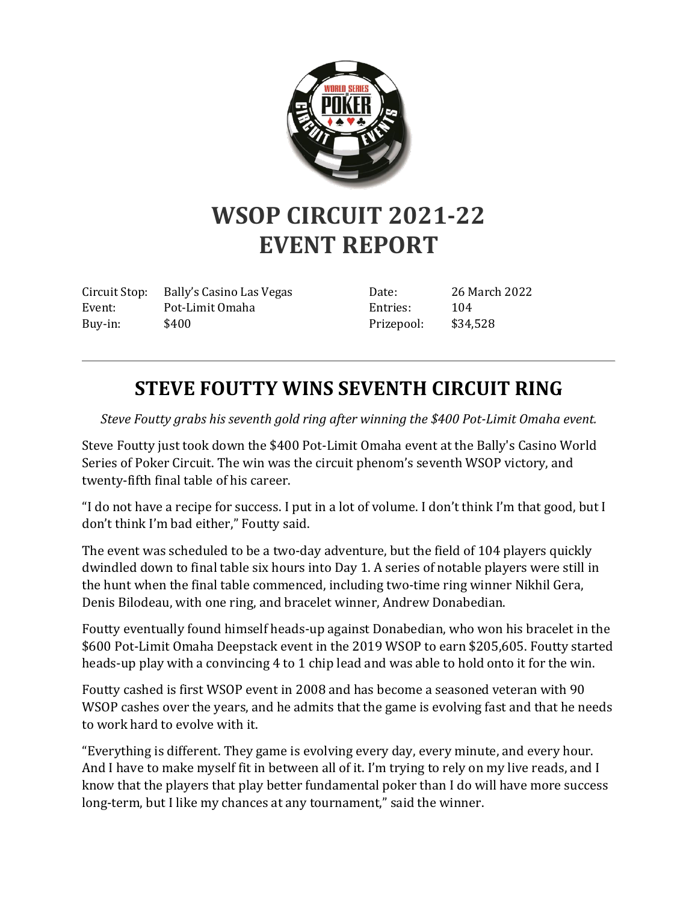

## **WSOP CIRCUIT 2021-22 EVENT REPORT**

Circuit Stop: Bally's Casino Las Vegas Event: Pot-Limit Omaha Buy-in: \$400

Date: 26 March 2022 Entries: 104 Prizepool: \$34,528

## **STEVE FOUTTY WINS SEVENTH CIRCUIT RING**

*Steve Foutty grabs his seventh gold ring after winning the \$400 Pot-Limit Omaha event.*

Steve Foutty just took down the \$400 Pot-Limit Omaha event at the Bally's Casino World Series of Poker Circuit. The win was the circuit phenom's seventh WSOP victory, and twenty-fifth final table of his career.

"I do not have a recipe for success. I put in a lot of volume. I don't think I'm that good, but I don't think I'm bad either," Foutty said.

The event was scheduled to be a two-day adventure, but the field of 104 players quickly dwindled down to final table six hours into Day 1. A series of notable players were still in the hunt when the final table commenced, including two-time ring winner Nikhil Gera, Denis Bilodeau, with one ring, and bracelet winner, Andrew Donabedian.

Foutty eventually found himself heads-up against Donabedian, who won his bracelet in the \$600 Pot-Limit Omaha Deepstack event in the 2019 WSOP to earn \$205,605. Foutty started heads-up play with a convincing 4 to 1 chip lead and was able to hold onto it for the win.

Foutty cashed is first WSOP event in 2008 and has become a seasoned veteran with 90 WSOP cashes over the years, and he admits that the game is evolving fast and that he needs to work hard to evolve with it.

"Everything is different. They game is evolving every day, every minute, and every hour. And I have to make myself fit in between all of it. I'm trying to rely on my live reads, and I know that the players that play better fundamental poker than I do will have more success long-term, but I like my chances at any tournament," said the winner.